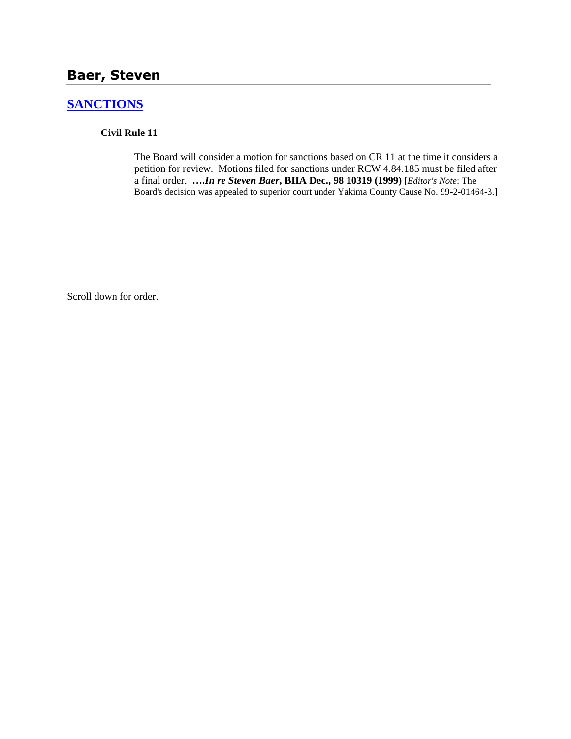### **Baer, Steven**

# **[SANCTIONS](http://www.biia.wa.gov/SDSubjectIndex.html#SANCTIONS)**

#### **Civil Rule 11**

The Board will consider a motion for sanctions based on CR 11 at the time it considers a petition for review. Motions filed for sanctions under RCW 4.84.185 must be filed after a final order. **….***In re Steven Baer***, BIIA Dec., 98 10319 (1999)** [*Editor's Note*: The Board's decision was appealed to superior court under Yakima County Cause No. 99-2-01464-3.]

Scroll down for order.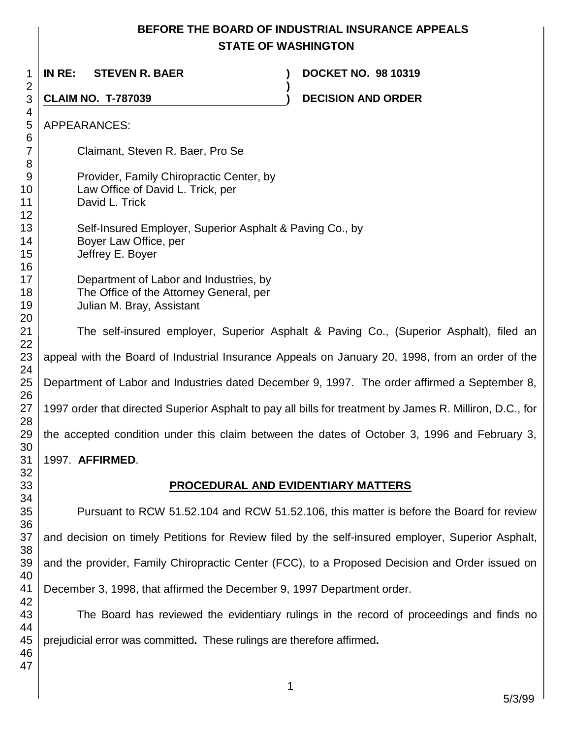## **BEFORE THE BOARD OF INDUSTRIAL INSURANCE APPEALS STATE OF WASHINGTON**

| 1                                 | IN RE:<br><b>STEVEN R. BAER</b>                                                                                | <b>DOCKET NO. 98 10319</b>                                                                               |
|-----------------------------------|----------------------------------------------------------------------------------------------------------------|----------------------------------------------------------------------------------------------------------|
| $\overline{c}$<br>3               | <b>CLAIM NO. T-787039</b>                                                                                      | <b>DECISION AND ORDER</b>                                                                                |
| 4<br>5<br>6                       | <b>APPEARANCES:</b>                                                                                            |                                                                                                          |
| 7<br>8                            | Claimant, Steven R. Baer, Pro Se                                                                               |                                                                                                          |
| 9<br>0<br>1<br>$\overline{c}$     | Provider, Family Chiropractic Center, by<br>Law Office of David L. Trick, per<br>David L. Trick                |                                                                                                          |
| 3<br>4<br>5<br>6                  | Self-Insured Employer, Superior Asphalt & Paving Co., by<br>Boyer Law Office, per<br>Jeffrey E. Boyer          |                                                                                                          |
| 7<br>8<br>9<br>0                  | Department of Labor and Industries, by<br>The Office of the Attorney General, per<br>Julian M. Bray, Assistant |                                                                                                          |
| $\mathbf{A}$<br>$\overline{2}$    |                                                                                                                | The self-insured employer, Superior Asphalt & Paving Co., (Superior Asphalt), filed an                   |
| $\overline{3}$<br>$4 \,$          |                                                                                                                | appeal with the Board of Industrial Insurance Appeals on January 20, 1998, from an order of the          |
| $5\overline{5}$<br>6              |                                                                                                                | Department of Labor and Industries dated December 9, 1997. The order affirmed a September 8,             |
| $\overline{\mathbf{7}}$<br>8      |                                                                                                                | 1997 order that directed Superior Asphalt to pay all bills for treatment by James R. Milliron, D.C., for |
| 9                                 |                                                                                                                | the accepted condition under this claim between the dates of October 3, 1996 and February 3,             |
| O.<br>$\overline{1}$              | 1997. <b>AFFIRMED.</b>                                                                                         |                                                                                                          |
| $\overline{2}$<br>$\overline{3}$  |                                                                                                                | <b>PROCEDURAL AND EVIDENTIARY MATTERS</b>                                                                |
| 4<br>$\overline{5}$               |                                                                                                                | Pursuant to RCW 51.52.104 and RCW 51.52.106, this matter is before the Board for review                  |
| $6\phantom{.}6$<br>$\overline{7}$ |                                                                                                                | and decision on timely Petitions for Review filed by the self-insured employer, Superior Asphalt,        |
| 8<br>$\overline{9}$               |                                                                                                                | and the provider, Family Chiropractic Center (FCC), to a Proposed Decision and Order issued on           |
| 0<br>$\cdot$ 1                    | December 3, 1998, that affirmed the December 9, 1997 Department order.                                         |                                                                                                          |
| $\overline{2}$<br>3<br>4          |                                                                                                                | The Board has reviewed the evidentiary rulings in the record of proceedings and finds no                 |

prejudicial error was committed**.** These rulings are therefore affirmed**.**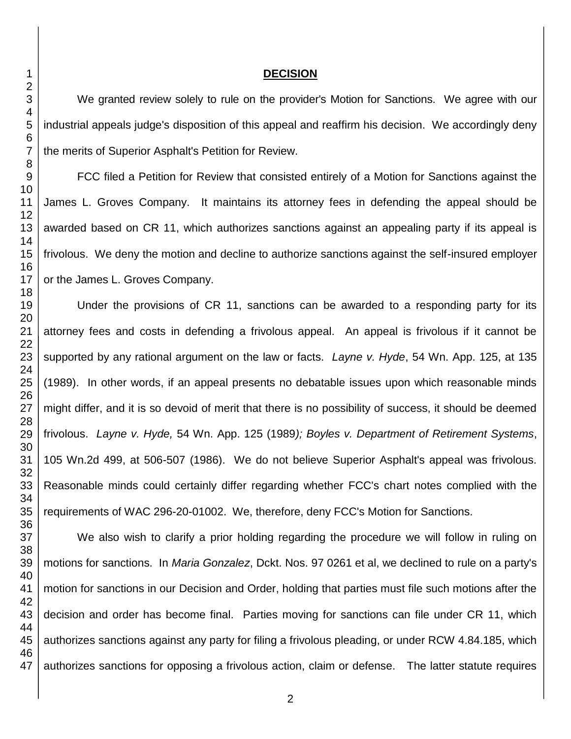#### 

#### **DECISION**

We granted review solely to rule on the provider's Motion for Sanctions. We agree with our industrial appeals judge's disposition of this appeal and reaffirm his decision. We accordingly deny the merits of Superior Asphalt's Petition for Review.

FCC filed a Petition for Review that consisted entirely of a Motion for Sanctions against the James L. Groves Company. It maintains its attorney fees in defending the appeal should be awarded based on CR 11, which authorizes sanctions against an appealing party if its appeal is frivolous. We deny the motion and decline to authorize sanctions against the self-insured employer or the James L. Groves Company.

Under the provisions of CR 11, sanctions can be awarded to a responding party for its attorney fees and costs in defending a frivolous appeal. An appeal is frivolous if it cannot be supported by any rational argument on the law or facts. *Layne v. Hyde*, 54 Wn. App. 125, at 135 (1989). In other words, if an appeal presents no debatable issues upon which reasonable minds might differ, and it is so devoid of merit that there is no possibility of success, it should be deemed frivolous. *Layne v. Hyde,* 54 Wn. App. 125 (1989*); Boyles v. Department of Retirement Systems*, 105 Wn.2d 499, at 506-507 (1986). We do not believe Superior Asphalt's appeal was frivolous. Reasonable minds could certainly differ regarding whether FCC's chart notes complied with the requirements of WAC 296-20-01002. We, therefore, deny FCC's Motion for Sanctions.

 We also wish to clarify a prior holding regarding the procedure we will follow in ruling on motions for sanctions. In *Maria Gonzalez*, Dckt. Nos. 97 0261 et al, we declined to rule on a party's motion for sanctions in our Decision and Order, holding that parties must file such motions after the decision and order has become final. Parties moving for sanctions can file under CR 11, which authorizes sanctions against any party for filing a frivolous pleading, or under RCW 4.84.185, which authorizes sanctions for opposing a frivolous action, claim or defense. The latter statute requires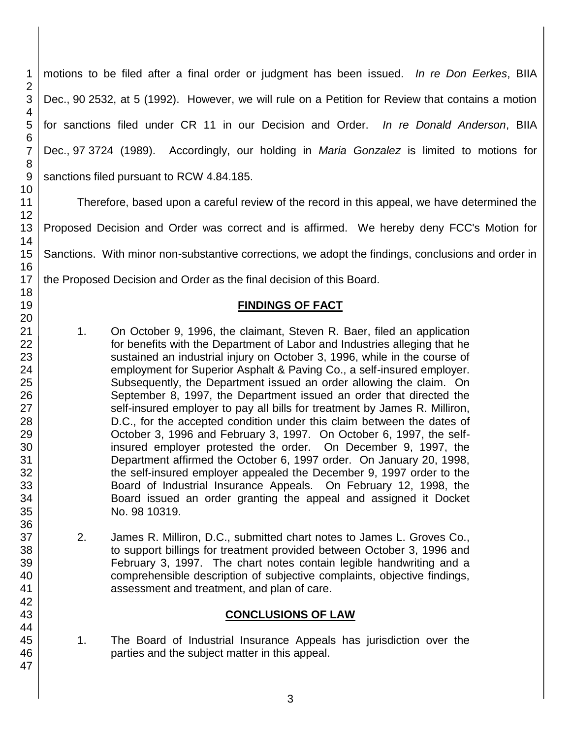motions to be filed after a final order or judgment has been issued. *In re Don Eerkes*, BIIA Dec., 90 2532, at 5 (1992). However, we will rule on a Petition for Review that contains a motion for sanctions filed under CR 11 in our Decision and Order. *In re Donald Anderson*, BIIA Dec., 97 3724 (1989). Accordingly, our holding in *Maria Gonzalez* is limited to motions for sanctions filed pursuant to RCW 4.84.185.

Therefore, based upon a careful review of the record in this appeal, we have determined the

Proposed Decision and Order was correct and is affirmed. We hereby deny FCC's Motion for

Sanctions. With minor non-substantive corrections, we adopt the findings, conclusions and order in

the Proposed Decision and Order as the final decision of this Board.

### **FINDINGS OF FACT**

- 1. On October 9, 1996, the claimant, Steven R. Baer, filed an application for benefits with the Department of Labor and Industries alleging that he sustained an industrial injury on October 3, 1996, while in the course of employment for Superior Asphalt & Paving Co., a self-insured employer. Subsequently, the Department issued an order allowing the claim. On September 8, 1997, the Department issued an order that directed the self-insured employer to pay all bills for treatment by James R. Milliron, D.C., for the accepted condition under this claim between the dates of October 3, 1996 and February 3, 1997. On October 6, 1997, the selfinsured employer protested the order. On December 9, 1997, the Department affirmed the October 6, 1997 order. On January 20, 1998, the self-insured employer appealed the December 9, 1997 order to the Board of Industrial Insurance Appeals. On February 12, 1998, the Board issued an order granting the appeal and assigned it Docket No. 98 10319.
- 2. James R. Milliron, D.C., submitted chart notes to James L. Groves Co., to support billings for treatment provided between October 3, 1996 and February 3, 1997. The chart notes contain legible handwriting and a comprehensible description of subjective complaints, objective findings, assessment and treatment, and plan of care.

### **CONCLUSIONS OF LAW**

1. The Board of Industrial Insurance Appeals has jurisdiction over the parties and the subject matter in this appeal.

1